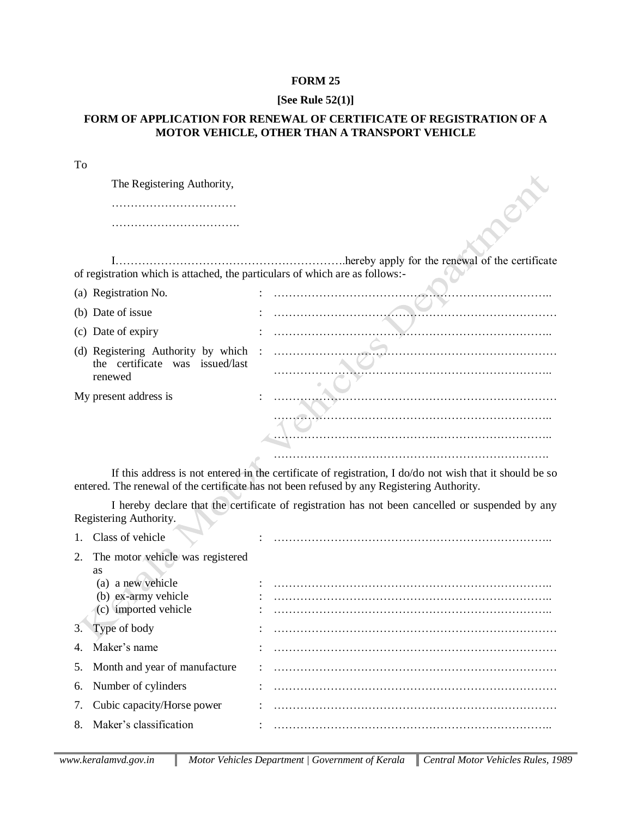## **FORM 25**

## **[See Rule 52(1)]**

## **FORM OF APPLICATION FOR RENEWAL OF CERTIFICATE OF REGISTRATION OF A MOTOR VEHICLE, OTHER THAN A TRANSPORT VEHICLE**

| To                                                                           |                                                 |
|------------------------------------------------------------------------------|-------------------------------------------------|
| The Registering Authority,                                                   |                                                 |
|                                                                              |                                                 |
|                                                                              |                                                 |
|                                                                              |                                                 |
|                                                                              | hereby apply for the renewal of the certificate |
| of registration which is attached, the particulars of which are as follows:- |                                                 |
| (a) Registration No.                                                         |                                                 |
| (b) Date of issue                                                            |                                                 |
| (c) Date of expiry                                                           |                                                 |
| (d) Registering Authority by which :                                         |                                                 |
| the certificate was issued/last                                              |                                                 |
| renewed                                                                      |                                                 |
| My present address is                                                        |                                                 |
|                                                                              |                                                 |
|                                                                              |                                                 |
|                                                                              |                                                 |
|                                                                              |                                                 |

If this address is not entered in the certificate of registration, I do/do not wish that it should be so entered. The renewal of the certificate has not been refused by any Registering Authority.

I hereby declare that the certificate of registration has not been cancelled or suspended by any Registering Authority.

|    | Class of vehicle                 |  |
|----|----------------------------------|--|
| 2. | The motor vehicle was registered |  |
|    | as                               |  |
|    | (a) a new vehicle                |  |
|    | (b) ex-army vehicle              |  |
|    | (c) imported vehicle             |  |
|    | 3. Type of body                  |  |
|    | Maker's name                     |  |
|    | 5. Month and year of manufacture |  |
|    | 6. Number of cylinders           |  |
| 7. | Cubic capacity/Horse power       |  |
|    | Maker's classification           |  |